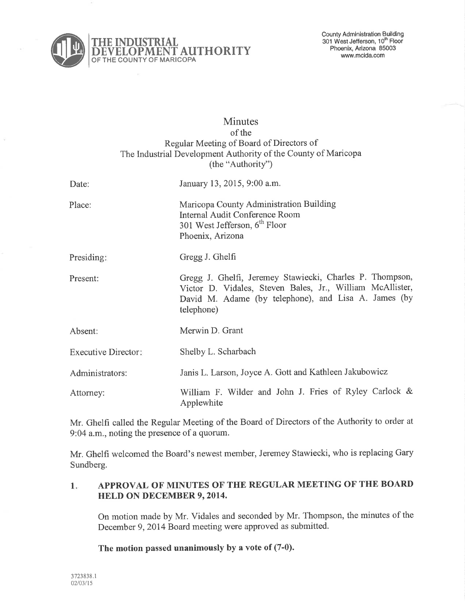

# **Minutes** of the Regular Meeting of Board of Directors of The Industrial Development Authority of the County of Maricopa (the "Authority")

| Date:                      | January 13, 2015, 9:00 a.m.                                                                                                                                                                 |
|----------------------------|---------------------------------------------------------------------------------------------------------------------------------------------------------------------------------------------|
| Place:                     | Maricopa County Administration Building<br><b>Internal Audit Conference Room</b><br>301 West Jefferson, 6 <sup>th</sup> Floor<br>Phoenix, Arizona                                           |
| Presiding:                 | Gregg J. Ghelfi                                                                                                                                                                             |
| Present:                   | Gregg J. Ghelfi, Jeremey Stawiecki, Charles P. Thompson,<br>Victor D. Vidales, Steven Bales, Jr., William McAllister,<br>David M. Adame (by telephone), and Lisa A. James (by<br>telephone) |
| Absent:                    | Merwin D. Grant                                                                                                                                                                             |
| <b>Executive Director:</b> | Shelby L. Scharbach                                                                                                                                                                         |
| Administrators:            | Janis L. Larson, Joyce A. Gott and Kathleen Jakubowicz                                                                                                                                      |
| Attorney:                  | William F. Wilder and John J. Fries of Ryley Carlock &<br>Applewhite                                                                                                                        |

Mr. Ghelfi called the Regular Meeting of the Board of Directors of the Authority to order at 9'.04 a.m., noting the presence of a quorum.

Mr. Ghelfi welcomed the Board's newest member, Jeremey Stawiecki, who is replacing Gary Sundberg.

#### APPROVAL OF MINUTES OF THE REGULAR MEETING OF THE BOARI) HELD ON DECEMBER 9,2014.  $1.$

On motion made by Mr. Vidales and seconded by Mr. Thompson, the minutes of the December 9,2014 Board meeting were approved as submitted.

The motion passed unanimously by a vote of (7-0).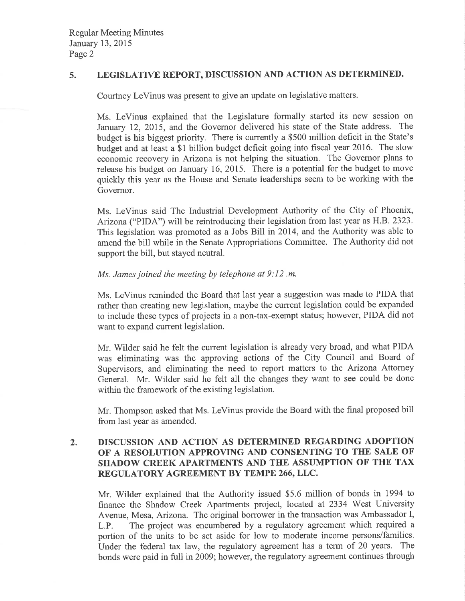# 5. LEGISLATIVE REPORT, DISCUSSION AND ACTION AS DETERMINED.

Courtney LeVinus was present to give an update on legislative matters.

Ms. LeVinus explained that the Legislature formally started its new session on January 12, 2015, and the Governor delivered his state of the State address. The budget is his biggest priority. There is currently a \$500 million deficit in the State's budget and at least a \$1 billion budget deficit going into fiscal year 2016. The slow economic recovery in Arizona is not helping the situation. The Governor plans to release his budget on January 16,2015. There is a potential for the budget to move quickly this year as the House and Senate leaderships seem to be working with the Governor.

Ms. LeVinus said The Industrial Development Authority of the City of Phoenix, Arizona ("PIDA") will be reintroducing their legislation from last year as H.B.2323. This legislation was promoted as a Jobs Bill in 2014, and the Authority was able to amend the bill while in the Senate Appropriations Committee. The Authority did not support the bill, but stayed neutral.

## Ms. James joined the meeting by telephone at 9: I2 .m.

Ms. LeVinus reminded the Board that last year a suggestion was made to PIDA that rather than creating new legislation, maybe the current legislation could be expanded to include these types of projects in a non-tax-exempt status; however, PIDA did not want to expand current legislation.

Mr. Wilder said he felt the current legislation is already very broad, and what PIDA was eliminating was the approving actions of the City Council and Board of Supervisors, and eliminating the need to report matters to the Arizona Attorney General. Mr. Wilder said he felt all the changes they want to see could be done within the framework of the existing legislation.

Mr. Thompson asked that Ms. LeVinus provide the Board with the final proposed bill from last year as amended.

#### DISCUSSION AND ACTION AS DETERMINED REGARDING ADOPTION OF A RESOLUTION APPROVING AND CONSENTING TO THE SALE OF SHADOW CREEK APARTMENTS AND THE ASSUMPTION OF THE TAX REGULATORY AGREEMENT BY TEMPE 266,LLC. 2.

Mr. Wilder explained that the Authority issued \$5.6 million of bonds in 1994 to finance the Shadow Creek Apartments project, located at 2334 West University Avenue, Mesa, Arizona. The original borrower in the transaction was Ambassador I, L.P. The project was encumbered by a regulatory agreement which required <sup>a</sup> portion of the units to be set aside for low to moderate income persons/families. Under the federal tax law, the regulatory agreement has a term of 20 years. The bonds were paid in fulI in2009; however, the regulatory agreement continues through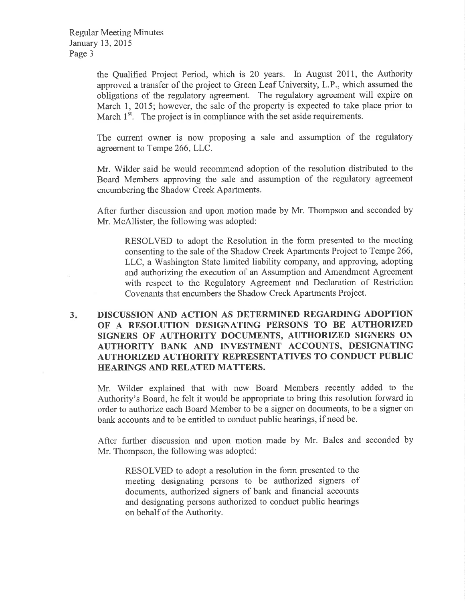the Qualified Project Period, which is 20 years. In August 2011, the Authority approved a transfer of the project to Green Leaf University, L.P., which assumed the obligations of the regulatory agreement. The regulatory agreement will expire on March 1, 2015; however, the sale of the property is expected to take place prior to March  $1<sup>st</sup>$ . The project is in compliance with the set aside requirements.

The current owner is now proposing a sale and assumption of the regulatory agreement to Tempe 266,LLC.

Mr. Wilder said he would recommend adoption of the resolution distributed to the Board Members approving the sale and assumption of the regulatory agreement encumbering the Shadow Creek Apartments.

After further discussion and upon motion made by Mr. Thompson and seconded by Mr. McAllister, the following was adopted:

RESOLVED to adopt the Resolution in the form presented to the meeting consenting to the sale of the Shadow Creek Apartments Project to Tempe 266, LLC, a Washington State limited liability company, and approving, adopting and authorizing the execution of an Assumption and Amendment Agreement with respect to the Regulatory Agreement and Declaration of Restriction Covenants that encumbers the Shadow Creek Apartments Project.

### $3.$ DISCUSSION AND ACTION AS DETERMINED REGARDING ADOPTION OF A RESOLUTION DESIGNATING PERSONS TO BE AUTHORIZED SIGNERS OF AUTHORITY DOCUMENTS, AUTHORIZED SIGNERS ON AUTHORITY BANK AND INVESTMENT ACCOUNTS, DESIGNATING AUTHORIZFD AUTHORITY REPRESENTATIVES TO CONDUCT PUBLIC HEARINGS AND RELATED MATTERS.

Mr. Wilder explained that with new Board Members recently added to the Authority's Board, he felt it would be appropriate to bring this resolution forward in order to authorize each Board Member to be a signer on documents, to be a signer on bank accounts and to be entitled to conduct public hearings, if need be.

After further discussion and upon motion made by Mr. Bales and seconded by Mr. Thompson, the following was adopted:

RESOLVED to adopt a resolution in the form presented to the meeting designating persons to be authorized signers of documents, authorized signers of bank and financial accounts and designating persons authorized to conduct public hearings on behalf of the Authority.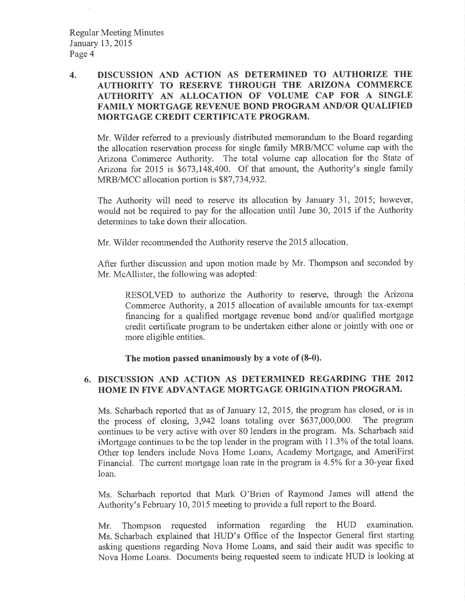# 4. DISCUSSION AND ACTION AS DETERMINED TO AUTHORIZE TIIE AUTHORITY TO RESERVE THROUGH THE ARIZONA COMMERCE AUTHORITY AN ALLOCATION OF VOLUME CAP FOR A SINGLE FAMILY MORTGAGE REVENUE BOND PROGRAM AND/OR QUALIFIED MORTGAGE CREDIT CERTIFICATE PROGRAM.

Mr. Wilder referred to a previously distributed memorandum to the Board regarding the allocation reseryation process for single family MRB/MCC volume cap with the Arizona Commerce Authority. The total volume cap allocation for the State of Anzona for 2015 is \$673,148,400. Of that amount, the Authority's single family MRB/MCC allocation portion is \$87,734,932.

The Authority will need to reserve its allocation by January 3I, 2015; however, would not be required to pay for the allocation until June 30, 2015 if the Authority determines to take down their allocation.

Mr. Wilder recommended the Authority reserve the 2015 allocation

After further discussion and upon motion made by Mr. Thompson and seconded by Mr. McAllister, the following was adopted:

RESOLVED to authorize the Authority to reserve, through the Arizona Commerce Authority, a 2015 allocation of available amounts for tax-exempt financing for a qualified mortgage revenue bond and/or qualified mortgage credit certificate program to be undertaken either alone or jointly with one or more eligible entities.

The motion passed unanimously by a vote of (8-0).

# 6. DISCUSSION AND ACTION AS DETERMINED REGARDING THE <sup>2012</sup> HOME IN FIVE ADVANTAGE MORTGAGE ORIGINATION PROGRAM.

Ms. Scharbach reported that as of January 12, 2015, the program has closed, or is in the process of closing, 3,942 loans totaling over \$637,000,000. The program continues to be very active with over 80 lenders in the program. Ms. Scharbach said iMortgage continues to be the top lender in the program with 11.3% of the total loans. Other top lenders include Nova Home Loans, Academy Mortgage, and AmeriFirst Financial. The current mortgage loan rate in the program is 45% for a 3O-year fixed loan.

Ms. Scharbach reported that Mark O'Brien of Raymond James will attend the Authority's February I0,2015 meeting to provide a full report to the Board.

Mr. Thompson requested information regarding the HUD examination. Ms. Scharbach explained that HUD's Office of the Inspector General first starting asking questions regarding Nova Home Loans, and said their audit was specific to Nova Home Loans. Documents being requested seem to indicate HUD is looking at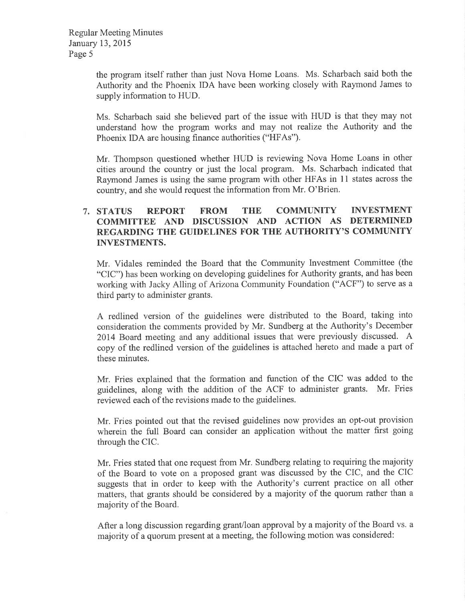the program itself rather than just Nova Home Loans. Ms. Scharbach said both the Authority and the Phoenix IDA have been working closely with Raymond James to supply information to HUD.

Ms. Scharbach said she believed part of the issue with HUD is that they may not understand how the program works and may not realize the Authority and the Phoenix IDA are housing finance authorities ("HFAs").

Mr. Thompson questioned whether HUD is reviewing Nova Home Loans in other cities around the country or just the local program. Ms. Scharbach indicated that Raymond James is using the same program with other HFAs in l1 states across the country, and she would request the information from Mr. O'Brien.

# 7. STATUS REPORT FROM THE COMMUNITY INVESTMENT 7. STATUS REPORT FROM THE COMMUNITY INVESTMENT<br>COMMITTEE AND DISCUSSION AND ACTION AS DETERMINED REGARDING THE GUIDELINES FOR THE AUTHORITY'S COMMUNITY INVESTMENTS.

Mr. Vidales reminded the Board that the Community Investment Committee (the "CIC") has been working on developing guidelines for Authority grants, and has been working with Jacky Alling of Arizona Community Foundation ("ACF") to serve as <sup>a</sup> third party to administer grants.

A redlined version of the guidelines were distributed to the Board, taking into consideration the comments provided by Mr. Sundberg at the Authority's December 2014 Board meeting and any additional issues that were previously discussed. A copy of the redlined version of the guidelines is attached hereto and made a part of these minutes.

Mr. Fries explained that the formation and function of the CIC was added to the guidelines, along with the addition of the ACF to administer grants. Mr. Fries reviewed each of the revisions made to the guidelines.

Mr. Fries pointed out that the revised guidelines now provides an opt-out provision wherein the full Board can consider an application without the matter first going through the CIC.

Mr. Fries stated that one request from Mr. Sundberg relating to requiring the majority of the Board to vote on a proposed grant was discussed by the CIC, and the CIC suggests that in order to keep with the Authority's current practice on all other matters, that grants should be considered by a majority of the quorum rather than <sup>a</sup> majority of the Board.

After a long discussion regarding grant/loan approval by a majority of the Board vs. a majority of a quorum present at a meeting, the following motion was considered: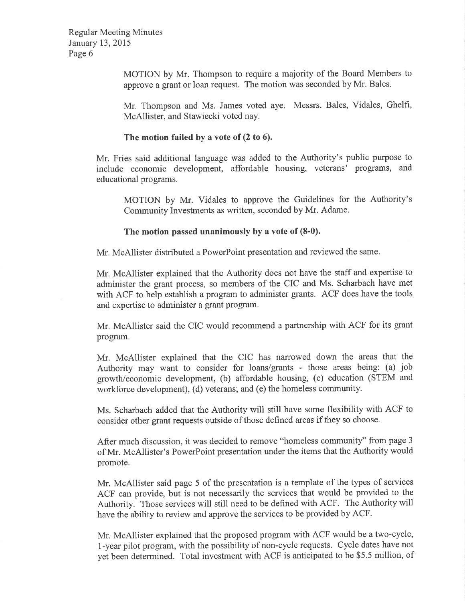Regular Meeting Minutes January 13,2015 Page 6

> MOTION by Mr. Thompson to require a majority of the Board Members to approve a grant or loan request. The motion was seconded by Mr. Bales.

> Mr. Thompson and Ms. James voted aye. Messrs. Bales, Vidales, Ghelfi, McAllister, and Stawiecki voted nay.

# The motion failed by a vote of (2 to 6).

Mr. Fries said additional language was added to the Authority's public purpose to include economic development, affordable housing, veterans' programs, and educational programs.

MOTION by Mr. Vidales to approve the Guidelines for the Authority's Community Investments as written, seconded by Mr. Adame.

## The motion passed unanimously by a vote of (8-0).

Mr. McAllister distributed a PowerPoint presentation and reviewed the same.

Mr. McAllister explained that the Authority does not have the staff and expertise to administer the grant process, so members of the CIC and Ms. Scharbach have met with ACF to help establish a program to administer grants. ACF does have the tools and expertise to administer a grant program.

Mr, McAllister said the CIC would recommend a partnership with ACF for its grant program.

Mr. McAllister explained that the CIC has narrowed down the areas that the Authority may want to consider for loans/grants - those areas being: (a) job growth/economic development, (b) affordable housing, (c) education (STEM and workforce development), (d) veterans; and (e) the homeless community.

Ms. Scharbach added that the Authority will still have some flexibility with ACF to consider other grant requests outside of those defined areas if they so choose.

After much discussion, it was decided to remove "homeless community" from page <sup>3</sup> of Mr. McAllister's PowerPoint presentation under the items that the Authority would promote.

Mr. McAllister said page 5 of the presentation is a template of the types of services ACF can provide, but is not necessarily the services that would be provided to the Authority. Those services will still need to be defined with ACF. The Authority will have the ability to review and approve the services to be provided by ACF.

Mr. McAllister explained that the proposed program with ACF would be a two-cycle, l-year pilot program, with the possibility of non-cycle requests. Cycle dates have not yet been determined. Total investment with ACF is anticipated to be \$5,5 million, of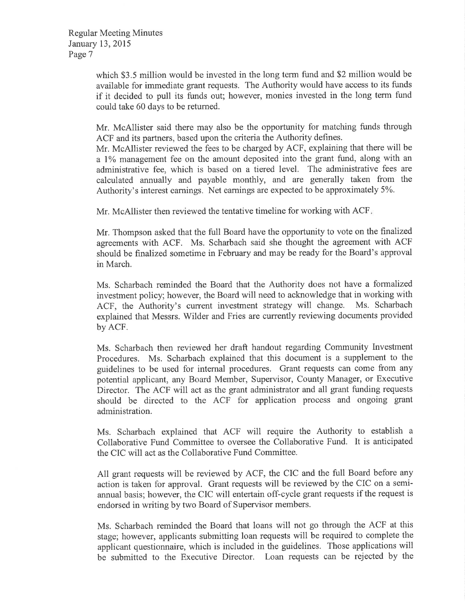which \$3.5 million would be invested in the long term fund and \$2 million would be available for immediate grant requests. The Authority would have access to its funds if it decided to pull its funds out; however, monies invested in the long term fund could take 60 days to be retumed.

Mr. McAllister said there may also be the opportunity for matching funds through ACF and its partners, based upon the criteria the Authority defines.

Mr. McAllister reviewed the fees to be charged by ACF, explaining that there will be a 1% management fee on the amount deposited into the grant fund, along with an administrative fee, which is based on a tiered level. The administrative fees are calculated annually and payable monthly, and are generally taken from the Authority's interest earnings. Net earnings are expected to be approximately 5%.

Mr. McAllister then reviewed the tentative timeline for working with ACF

Mr. Thompson asked that the full Board have the opportunity to vote on the fìnalized agreements with ACF. Ms. Scharbach said she thought the agreement with ACF should be finalized sometime in February and may be ready for the Board's approval in March.

Ms. Scharbach reminded the Board that the Authority does not have a formalized investment policy; however, the Board will need to acknowledge that in working with ACF, the Authority's current investment strategy will change. Ms. Scharbach explained that Messrs. Wilder and Fries are currently reviewing documents provided by ACF.

Ms. Scharbach then reviewed her draft handout regarding Community Investment Procedures. Ms. Scharbach explained that this document is a supplement to the guidelines to be used for internal procedures. Grant requests can come from any potential applicant, any Board Member, Supervisor, County Manager, or Executive Director. The ACF will act as the grant administrator and all grant funding requests should be directed to the ACF for application process and ongoing grant administration.

Ms. Scharbach explained that ACF will require the Authority to establish <sup>a</sup> Collaborative Fund Committee to oversee the Collaborative Fund. It is anticipated the CIC will act as the Collaborative Fund Committee.

All grant requests will be reviewed by ACF, the CIC and the full Board before any action is taken for approval. Grant requests will be reviewed by the CIC on a semiannual basis; however, the CIC will entertain off-cycle grant requests if the request is endorsed in writing by two Board of Supervisor members.

Ms. Scharbach reminded the Board that loans will not go through the ACF at this stage; however, applicants submitting loan requests will be required to complete the applicant questionnaire, which is included in the guidelines. Those applications will be submitted to the Executive Director. Loan requests can be rejected by the